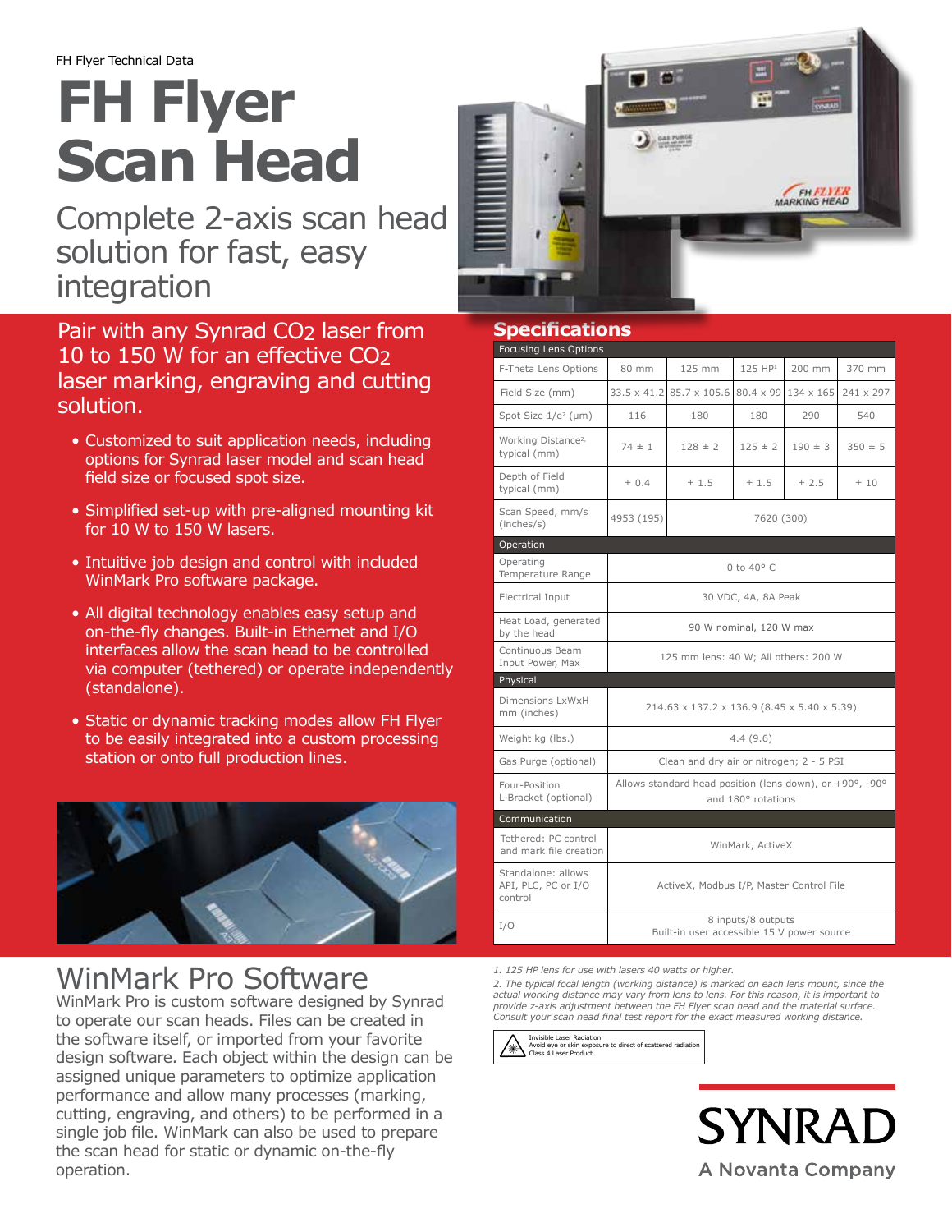# **FH Flyer Scan Head**

Complete 2-axis scan head solution for fast, easy integration

Pair with any Synrad CO2 laser from 10 to 150 W for an effective CO2 laser marking, engraving and cutting solution.

- Customized to suit application needs, including options for Synrad laser model and scan head field size or focused spot size.
- Simplified set-up with pre-aligned mounting kit for 10 W to 150 W lasers.
- Intuitive job design and control with included WinMark Pro software package.
- All digital technology enables easy setup and on-the-fly changes. Built-in Ethernet and I/O interfaces allow the scan head to be controlled via computer (tethered) or operate independently (standalone).
- Static or dynamic tracking modes allow FH Flyer to be easily integrated into a custom processing station or onto full production lines.



## WinMark Pro Software

WinMark Pro is custom software designed by Synrad to operate our scan heads. Files can be created in the software itself, or imported from your favorite design software. Each object within the design can be assigned unique parameters to optimize application performance and allow many processes (marking, cutting, engraving, and others) to be performed in a single job file. WinMark can also be used to prepare the scan head for static or dynamic on-the-fly operation.



## **Specifications**

| <b>Focusing Lens Options</b>                         |                                                                                |                          |             |                  |             |  |  |  |
|------------------------------------------------------|--------------------------------------------------------------------------------|--------------------------|-------------|------------------|-------------|--|--|--|
| F-Theta Lens Options                                 | 80 mm                                                                          | 125 mm                   | 125 HP1     | 200 mm           | 370 mm      |  |  |  |
| Field Size (mm)                                      |                                                                                | 33.5 x 41.2 85.7 x 105.6 | 80.4 x 99   | $134 \times 165$ | 241 x 297   |  |  |  |
| Spot Size 1/e <sup>2</sup> (µm)                      | 116                                                                            | 180                      | 180         | 290              | 540         |  |  |  |
| Working Distance <sup>2,</sup><br>typical (mm)       | $74 \pm 1$                                                                     | $128 \pm 2$              | $125 \pm 2$ | $190 \pm 3$      | $350 \pm 5$ |  |  |  |
| Depth of Field<br>typical (mm)                       | ± 0.4                                                                          | ±1.5                     | ± 1.5       | ± 2.5            | ±10         |  |  |  |
| Scan Speed, mm/s<br>(inches/s)                       | 4953 (195)                                                                     | 7620 (300)               |             |                  |             |  |  |  |
| Operation                                            |                                                                                |                          |             |                  |             |  |  |  |
| Operating<br>Temperature Range                       | 0 to 40° C                                                                     |                          |             |                  |             |  |  |  |
| Electrical Input                                     | 30 VDC, 4A, 8A Peak                                                            |                          |             |                  |             |  |  |  |
| Heat Load, generated<br>by the head                  | 90 W nominal, 120 W max                                                        |                          |             |                  |             |  |  |  |
| Continuous Beam<br>Input Power, Max                  | 125 mm lens: 40 W; All others: 200 W                                           |                          |             |                  |             |  |  |  |
| Physical                                             |                                                                                |                          |             |                  |             |  |  |  |
| Dimensions LxWxH<br>mm (inches)                      | 214.63 x 137.2 x 136.9 (8.45 x 5.40 x 5.39)                                    |                          |             |                  |             |  |  |  |
| Weight kg (lbs.)                                     | 4.4(9.6)                                                                       |                          |             |                  |             |  |  |  |
| Gas Purge (optional)                                 | Clean and dry air or nitrogen; 2 - 5 PSI                                       |                          |             |                  |             |  |  |  |
| Four-Position<br>L-Bracket (optional)                | Allows standard head position (lens down), or +90°, -90°<br>and 180° rotations |                          |             |                  |             |  |  |  |
| Communication                                        |                                                                                |                          |             |                  |             |  |  |  |
| Tethered: PC control<br>and mark file creation       | WinMark, ActiveX                                                               |                          |             |                  |             |  |  |  |
| Standalone: allows<br>API, PLC, PC or I/O<br>control | ActiveX, Modbus I/P, Master Control File                                       |                          |             |                  |             |  |  |  |
| I/O                                                  | 8 inputs/8 outputs<br>Built-in user accessible 15 V power source               |                          |             |                  |             |  |  |  |

*1. 125 HP lens for use with lasers 40 watts or higher.*

*2. The typical focal length (working distance) is marked on each lens mount, since the actual working distance may vary from lens to lens. For this reason, it is important to provide z-axis adjustment between the FH Flyer scan head and the material surface. Consult your scan head final test report for the exact measured working distance.*